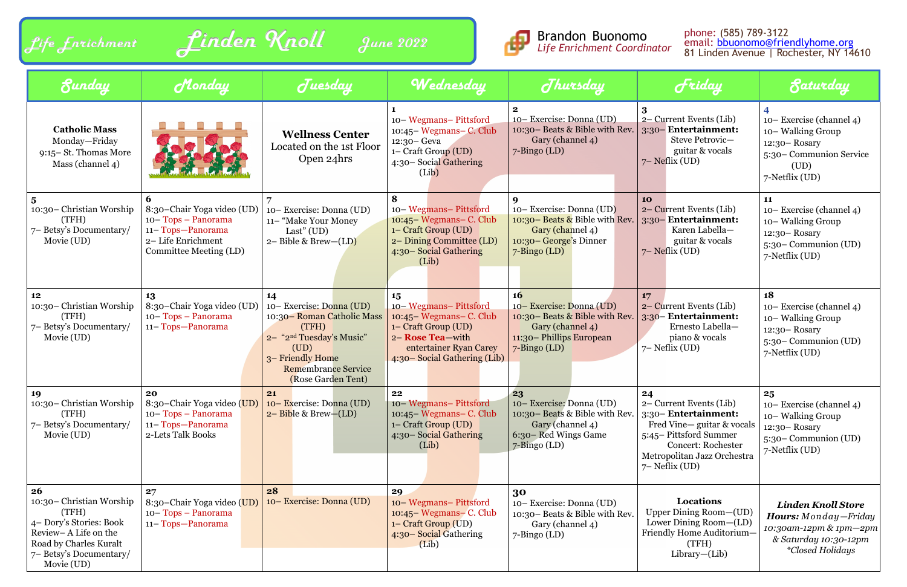| Life Enrichment       |  |  |
|-----------------------|--|--|
| $\sigma$ and $\sigma$ |  |  |





| Sunday                                                                                                                                                                | Monday                                                                                                              | Juesday                                                                                                                                                                                       | Wednesday                                                                                                                                                     | Jhursday                                                                                                                                     | Friday                                                                                                                                                                                          | <b><i><u>Saturday</u></i></b>                                                                                                          |
|-----------------------------------------------------------------------------------------------------------------------------------------------------------------------|---------------------------------------------------------------------------------------------------------------------|-----------------------------------------------------------------------------------------------------------------------------------------------------------------------------------------------|---------------------------------------------------------------------------------------------------------------------------------------------------------------|----------------------------------------------------------------------------------------------------------------------------------------------|-------------------------------------------------------------------------------------------------------------------------------------------------------------------------------------------------|----------------------------------------------------------------------------------------------------------------------------------------|
| <b>Catholic Mass</b><br>Monday-Friday<br>9:15 - St. Thomas More<br>Mass (channel 4)                                                                                   |                                                                                                                     | <b>Wellness Center</b><br>Located on the 1st Floor<br>Open 24hrs                                                                                                                              | 10-Wegmans-Pittsford<br>10:45 – Wegmans – C. Club<br>12:30 - Geva<br>1– Craft Group (UD)<br>4:30 – Social Gathering<br>(Lib)                                  | $2^{\circ}$<br>10– Exercise: Donna (UD)<br>10:30 - Beats & Bible with Rev.<br>Gary (channel 4)<br>$7 - \text{Bingo (LD)}$                    | 2– Current Events (Lib)<br>3:30 - Entertainment:<br>Steve Petrovic-<br>guitar & vocals<br>$7$ – Neflix (UD)                                                                                     | 10–Exercise (channel 4)<br>10-Walking Group<br>$12:30 - Rosary$<br>5:30 – Communion Service<br>(UD)<br>7-Netflix (UD)                  |
| 10:30 – Christian Worship<br>(TFH)<br>7– Betsy's Documentary/<br>Movie (UD)                                                                                           | 8:30-Chair Yoga video (UD)<br>10-Tops - Panorama<br>11-Tops-Panorama<br>2-Life Enrichment<br>Committee Meeting (LD) | 10– Exercise: Donna (UD)<br>11- "Make Your Money<br>Last" $(UD)$<br>$2 - Bible & Brew-(LD)$                                                                                                   | 10-Wegmans-Pittsford<br>10:45 – Wegmans – C. Club<br>1- Craft Group (UD)<br>2- Dining Committee (LD)<br>4:30 - Social Gathering<br>(Lib)                      | 10– Exercise: Donna (UD)<br>10:30 - Beats & Bible with Rev.<br>Gary (channel 4)<br>10:30 – George's Dinner<br>$7 - \text{Bingo (LD)}$        | 10<br>2– Current Events (Lib)<br>3:30 Entertainment:<br>Karen Labella-<br>guitar & vocals<br>$7$ – Neflix (UD)                                                                                  | 11<br>$10 -$ Exercise (channel 4)<br>10-Walking Group<br>$12:30 - Rosary$<br>$5:30$ – Communion (UD)<br>7-Netflix (UD)                 |
| 12<br>10:30 – Christian Worship<br>(TFH)<br>7– Betsy's Documentary/<br>Movie (UD)                                                                                     | 13<br>8:30-Chair Yoga video (UD)<br>10-Tops - Panorama<br>11-Tops-Panorama                                          | 14<br>10– Exercise: Donna (UD)<br>10:30 – Roman Catholic Mass<br>(TFH)<br>2- "2 <sup>nd</sup> Tuesday's Music"<br>(UD)<br>3-Friendly Home<br><b>Remembrance Service</b><br>(Rose Garden Tent) | 15<br>10-Wegmans-Pittsford<br>10:45 – Wegmans – C. Club<br>1- Craft Group (UD)<br>2- Rose Tea-with<br>entertainer Ryan Carey<br>4:30 – Social Gathering (Lib) | <b>16</b><br>10– Exercise: Donna (UD)<br>10:30 - Beats & Bible with Rev.<br>Gary (channel 4)<br>11:30 - Phillips European<br>$7$ -Bingo (LD) | 17<br>2– Current Events (Lib)<br>3:30 - Entertainment:<br>Ernesto Labella-<br>piano & vocals<br>$7$ – Neflix (UD)                                                                               | 18<br>10– Exercise (channel 4)<br>10– Walking Group<br>$12:30 - Rosary$<br>5:30 – Communion (UD)<br>7-Netflix (UD)                     |
| 19<br>10:30 - Christian Worship<br>(TFH)<br>7- Betsy's Documentary/<br>Movie (UD)                                                                                     | 20<br>8:30-Chair Yoga video (UD)<br>10-Tops - Panorama<br>11-Tops-Panorama<br>2-Lets Talk Books                     | 21<br>10 – Exercise: Donna (UD)<br>$2 - Bible & Brew - (LD)$                                                                                                                                  | 22<br>10-Wegmans-Pittsford<br>$10:45$ – Wegmans– C. Club<br>1– Craft Group (UD)<br>4:30 - Social Gathering<br>(Lib)                                           | 23<br>10- Exercise: Donna (UD)<br>10:30 - Beats & Bible with Rev.<br>Gary (channel 4)<br>6:30 - Red Wings Game<br>$7 - \text{Bingo (LD)}$    | 24<br>2– Current Events (Lib)<br>3:30 - Entertainment:<br>Fred Vine-guitar & vocals<br>5:45 – Pittsford Summer<br><b>Concert: Rochester</b><br>Metropolitan Jazz Orchestra<br>$7$ – Neflix (UD) | 25<br>10– Exercise (channel 4)<br>10– Walking Group<br>$12:30 - Rosary$<br>5:30 – Communion (UD)<br>7-Netflix (UD)                     |
| <b>26</b><br>10:30 – Christian Worship<br>(TFH)<br>4- Dory's Stories: Book<br>Review-A Life on the<br>Road by Charles Kuralt<br>7– Betsy's Documentary/<br>Movie (UD) | 27<br>8:30-Chair Yoga video (UD)<br>10-Tops - Panorama<br>11-Tops-Panorama                                          | 28<br>10– Exercise: Donna (UD)                                                                                                                                                                | 29<br>10 – Wegmans – Pittsford<br>$10:45$ Wegmans – C. Club<br>1– Craft Group (UD)<br>4:30 - Social Gathering<br>(Lib)                                        | 30<br>10– Exercise: Donna (UD)<br>10:30 – Beats & Bible with Rev.<br>Gary (channel 4)<br>$7 - \text{Bingo (LD)}$                             | <b>Locations</b><br>Upper Dining Room-(UD)<br>Lower Dining Room-(LD)<br>Friendly Home Auditorium-<br>(TFH)<br>$Library$ - $(Lib)$                                                               | <b>Linden Knoll Store</b><br><b>Hours:</b> Monday-Friday<br>10:30am-12pm & 1pm-2pm<br>& Saturday 10:30-12pm<br><i>*Closed Holidays</i> |

#### phone: (585) 789-3122 email: [bbuonomo@friendlyhome.org](mailto:bbuonomo@friendlyhome.org) 81 Linden Avenue | Rochester, NY 14610